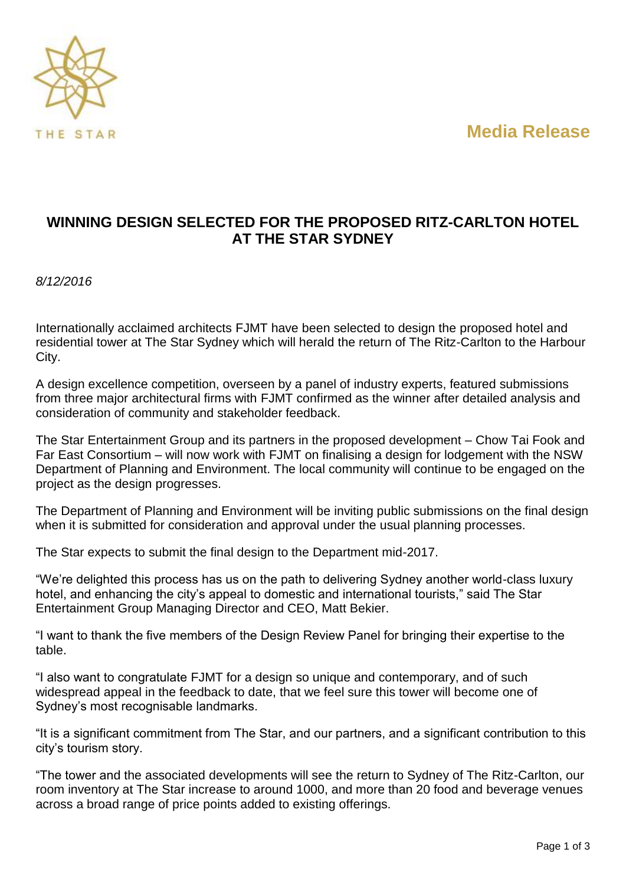**Media Release**



## **WINNING DESIGN SELECTED FOR THE PROPOSED RITZ-CARLTON HOTEL AT THE STAR SYDNEY**

*8/12/2016*

Internationally acclaimed architects FJMT have been selected to design the proposed hotel and residential tower at The Star Sydney which will herald the return of The Ritz-Carlton to the Harbour City.

A design excellence competition, overseen by a panel of industry experts, featured submissions from three major architectural firms with FJMT confirmed as the winner after detailed analysis and consideration of community and stakeholder feedback.

The Star Entertainment Group and its partners in the proposed development – Chow Tai Fook and Far East Consortium – will now work with FJMT on finalising a design for lodgement with the NSW Department of Planning and Environment. The local community will continue to be engaged on the project as the design progresses.

The Department of Planning and Environment will be inviting public submissions on the final design when it is submitted for consideration and approval under the usual planning processes.

The Star expects to submit the final design to the Department mid-2017.

"We're delighted this process has us on the path to delivering Sydney another world-class luxury hotel, and enhancing the city's appeal to domestic and international tourists," said The Star Entertainment Group Managing Director and CEO, Matt Bekier.

"I want to thank the five members of the Design Review Panel for bringing their expertise to the table.

"I also want to congratulate FJMT for a design so unique and contemporary, and of such widespread appeal in the feedback to date, that we feel sure this tower will become one of Sydney's most recognisable landmarks.

"It is a significant commitment from The Star, and our partners, and a significant contribution to this city's tourism story.

"The tower and the associated developments will see the return to Sydney of The Ritz-Carlton, our room inventory at The Star increase to around 1000, and more than 20 food and beverage venues across a broad range of price points added to existing offerings.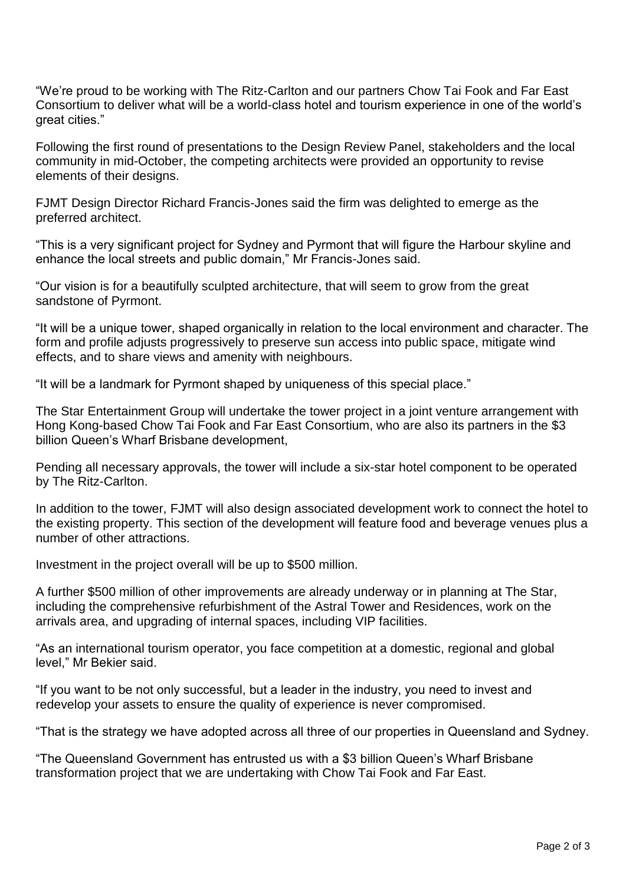"We're proud to be working with The Ritz-Carlton and our partners Chow Tai Fook and Far East Consortium to deliver what will be a world-class hotel and tourism experience in one of the world's great cities."

Following the first round of presentations to the Design Review Panel, stakeholders and the local community in mid-October, the competing architects were provided an opportunity to revise elements of their designs.

FJMT Design Director Richard Francis-Jones said the firm was delighted to emerge as the preferred architect.

"This is a very significant project for Sydney and Pyrmont that will figure the Harbour skyline and enhance the local streets and public domain," Mr Francis-Jones said.

"Our vision is for a beautifully sculpted architecture, that will seem to grow from the great sandstone of Pyrmont.

"It will be a unique tower, shaped organically in relation to the local environment and character. The form and profile adjusts progressively to preserve sun access into public space, mitigate wind effects, and to share views and amenity with neighbours.

"It will be a landmark for Pyrmont shaped by uniqueness of this special place."

The Star Entertainment Group will undertake the tower project in a joint venture arrangement with Hong Kong-based Chow Tai Fook and Far East Consortium, who are also its partners in the \$3 billion Queen's Wharf Brisbane development,

Pending all necessary approvals, the tower will include a six-star hotel component to be operated by The Ritz-Carlton.

In addition to the tower, FJMT will also design associated development work to connect the hotel to the existing property. This section of the development will feature food and beverage venues plus a number of other attractions.

Investment in the project overall will be up to \$500 million.

A further \$500 million of other improvements are already underway or in planning at The Star, including the comprehensive refurbishment of the Astral Tower and Residences, work on the arrivals area, and upgrading of internal spaces, including VIP facilities.

"As an international tourism operator, you face competition at a domestic, regional and global level," Mr Bekier said.

"If you want to be not only successful, but a leader in the industry, you need to invest and redevelop your assets to ensure the quality of experience is never compromised.

"That is the strategy we have adopted across all three of our properties in Queensland and Sydney.

"The Queensland Government has entrusted us with a \$3 billion Queen's Wharf Brisbane transformation project that we are undertaking with Chow Tai Fook and Far East.